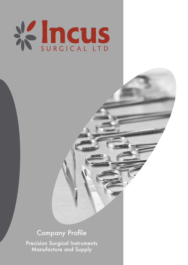

# Company Profile Precision Surgical Instruments Manufacture and Supply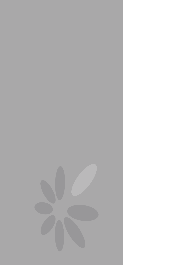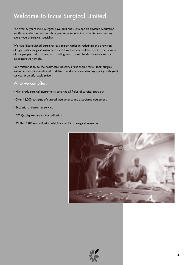# Welcome to Incus Surgical Limited

For over 27 years Incus Surgical have built and sustained an enviable reputation for the manufacture and supply of precision surgical instrumentation covering every type of surgical speciality.

We have distinguished ourselves as a major leader in redefining the provision of high quality surgical instruments and have become well known for the passion of our people, and partners, in providing unsurpassed levels of service to our customers worldwide.

Our mission is to be the healthcare industry's first choice for all their surgical instrument requirements and to deliver products of outstanding quality, with great service, at an affordable price.

## What we can offer:

- High grade surgical instruments covering all fields of surgical specialty
- Over 16,000 patterns of surgical instruments and associated equipment
- Exceptional customer service
- ISO Quality Assurance Accreditation
- BS EN 13485 Accreditation which is specific to surgical instruments



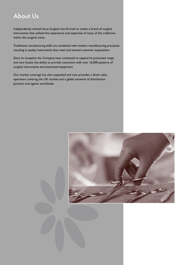# About Us

Independently owned, Incus Surgical was formed to create a brand of surgical instruments that utilised the experience and expertise of many of the craftsmen within the surgical arena.

Traditional manufacturing skills are combined with modern manufacturing processes resulting in quality instruments that meet and exceed customer expectation.

Since its inception the Company have continued to expand its promoted range and now boasts the ability to provide customers with over 16,000 patterns of surgical instruments and associated equipment.

Our market coverage has also expanded and now provides a direct sales operation covering the UK market and a global network of distribution partners and agents worldwide.

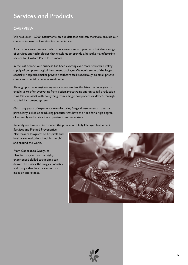# Services and Products

# **OVERVIEW**

We have over 16,000 instruments on our database and can therefore provide our clients total needs of surgical instrumentation.

As a manufacturer, we not only manufacture standard products, but also a range of services and technologies that enable us to provide a bespoke manufacturing service for Custom Made Instruments.

In the last decade, our business has been evolving ever more towards Turnkey supply of complete surgical instrument packages. We equip some of the largest speciality hospitals, smaller private healthcare facilities, through to small private clinics and speciality centres worldwide.

Through precision engineering services we employ the latest technologies to enable us to offer everything from design, prototyping and on to full production runs. We can assist with everything from a single component or device, through to a full instrument system.

Our many years of experience manufacturing Surgical Instruments makes us particularly skilled at producing products that have the need for a high degree of assembly and fabrication expertise from our makers.

Recently we have also introduced the provision of fully Managed Instrument

Services and Planned Preventative Maintenance Programs to hospitals and healthcare institutions both in the UK and around the world.

From Concept, to Design, to Manufacture, our team of highly experienced skilled technicians can deliver the quality the surgical industry and many other healthcare sectors insist on and expect.



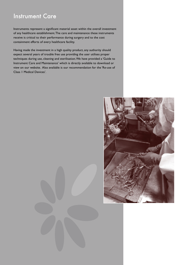# Instrument Care

Instruments represent a significant material asset within the overall investment of any healthcare establishment. The care and maintenance these instruments receive is critical to their performance during surgery and to the cost containment efforts of every healthcare facility.

Having made the investment in a high quality product, any authority should expect several years of trouble free use providing the user utilises proper techniques during use, cleaning and sterilisation. We have provided a 'Guide to Instrument Care and Maintenance' which is directly available to download or view on our website. Also available is our recommendation for the 'Re-use of Class 1 Medical Devices'.

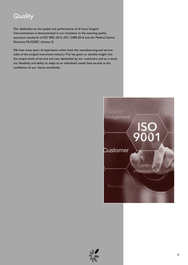# **Quality**

Our dedication to the quality and performance of all Incus Surgical Instrumentation is demonstrated in our transition to the exacting quality assurance standards of ISO 9001:2015, ISO 13485:2016 and the Medical Device Directive 93/42/EEC. (Annex II)

We have many years of experience within both the manufacturing and service sides of the surgical instrument industry. This has given us valuable insight into the unique levels of service and care demanded by our customers, and as a result, our flexibility and ability to adapt to an individual's needs have earned us the confidence of our clients worldwide.



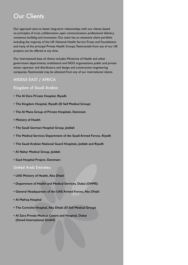# Our Clients

Our approach aims to foster long-term relationships with our clients, based on principles of trust, collaboration, open communication, professional delivery, consensus building and innovation. Our team has an extensive client portfolio including the majority of the UK National Health Service Trusts and Foundations and many of the principal Private Health Groups. Testimonials from any of our UK projects can be offered at any time.

Our international base of clients includes Ministries of Health and other government departments, multilateral and NGO organisations, public and private sector operator and distributors, and design and construction engineering companies. Testimonials may be obtained from any of our international clients.

# MIDDLE EAST / AFRICA

## Kingdom of Saudi Arabia:

- **• The Al Dara Private Hospital, Riyadh**
- **• The Kingdom Hospital, Riyadh (El Seif Medical Group)**
- **• The Al Mana Group of Private Hospitals, Dammam**
- **• Ministry of Health**
- **• The Saudi German Hospital Group, Jeddah**
- **• The Medical Services Department of the Saudi Armed Forces, Riyadh**
- **• The Saudi Arabian National Guard Hospitals, Jeddah and Riyadh**
- **• Al Nahar Medical Group, Jeddah**
- **• Saad Hospital Project, Dammam**

United Arab Emirates:

- **• UAE Ministry of Health, Abu Dhabi**
- **• Department of Health and Medical Services, Dubai (DHMS)**
- **• General Headquarters of the UAE Armed Forces, Abu Dhabi**
- **• Al Mafraq Hospital**
- **• The Corniche Hospital, Abu Dhabi (El Seif Medical Group)**
- **• Al Zara Private Medical Centre and Hospital, Dubai (Simed International GmbH)**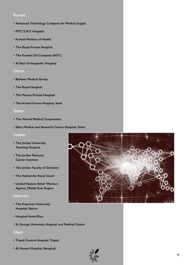#### Kuwait:

- **• Advanced Technology Company for Medical Supply**
- **• MTC E.N.T. Hospital**
- **• Kuwait Ministry of Health**
- **• The Royal Private Hospital**
- **• The Kuwaiti Oil Company (KOC)**
- **• Al Razi Orthopaedic Hospital**

#### Oman:

- **• Bahwan Medical Group**
- **• The Royal Hospital**
- **• The Muscat Private Hospital**
- **• The Armed Forces Hospital, Seeb**

#### Qatar:

- **• The Hamad Medical Corporation**
- **• Sidra Medical and Research Centre Hospital, Doha**

### Jordan:

- **• The Jordan University Teaching Hospital**
- **• The Jordan National Cancer Institute**
- **• The Jordan Faculty of Dentistry**
- **• The Hashemite Royal Court**
- **• United Nations Relief Workers Agency, Middle East Region**

### Lebanon:

- **• The American University Hospital, Beirut**
- **• Hospital Hotel-Dieu**
- **• St George University Hospital and Medical Centre**

## Libya:

- **• Tripoli Central Hospital, Tripoli**
- **• Al Hawari Hospital, Benghazi**



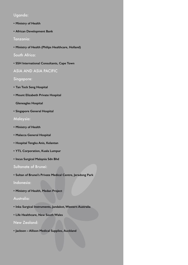# Uganda:

- **• Ministry of Health**
- **• African Development Bank**

#### Tanzania:

**• Ministry of Health (Philips Healthcare, Holland)**

## South Africa:

**• SSH International Consultants, Cape Town**

### ASIA AND ASIA PACIFIC

# Singapore:

- **• Tan Tock Seng Hospital**
- **• Mount Elizabeth Private Hospital**

**Gleneagles Hospital**

**• Singapore General Hospital**

### Malaysia:

- **• Ministry of Health**
- **• Malacca General Hospital**
- **• Hospital Tengku Anis, Kelantan**
- **• YTL Corporation, Kuala Lumpur**
- **• Incus Surgical Malaysia Sdn Bhd**

#### Sultanate of Brunei:

**• Sultan of Brunei's Private Medical Centre, Jeradong Park**

#### Indonesia:

**• Ministry of Health, Medan Project**

### Australia:

- **• Inka Surgical Instruments, Jandakot, Western Australia**
- **• Life Healthcare, New South Wales**

### New Zealand:

**• Jackson – Allison Medical Supplies, Auckland**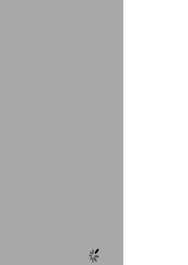